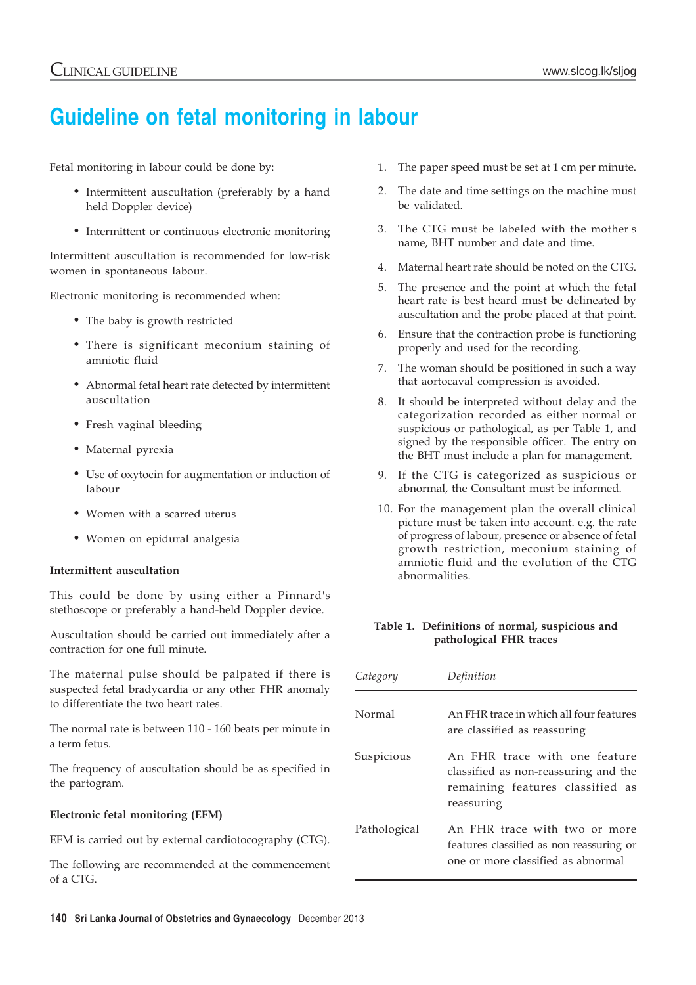# **Guideline on fetal monitoring in labour**

Fetal monitoring in labour could be done by:

- Intermittent auscultation (preferably by a hand held Doppler device)
- Intermittent or continuous electronic monitoring

Intermittent auscultation is recommended for low-risk women in spontaneous labour.

Electronic monitoring is recommended when:

- The baby is growth restricted
- There is significant meconium staining of amniotic fluid
- Abnormal fetal heart rate detected by intermittent auscultation
- Fresh vaginal bleeding
- Maternal pyrexia
- Use of oxytocin for augmentation or induction of labour
- Women with a scarred uterus
- Women on epidural analgesia

# **Intermittent auscultation**

This could be done by using either a Pinnard's stethoscope or preferably a hand-held Doppler device.

Auscultation should be carried out immediately after a contraction for one full minute.

The maternal pulse should be palpated if there is suspected fetal bradycardia or any other FHR anomaly to differentiate the two heart rates.

The normal rate is between 110 - 160 beats per minute in a term fetus.

The frequency of auscultation should be as specified in the partogram.

# **Electronic fetal monitoring (EFM)**

EFM is carried out by external cardiotocography (CTG).

The following are recommended at the commencement of a CTG.

- 1. The paper speed must be set at 1 cm per minute.
- 2. The date and time settings on the machine must be validated.
- 3. The CTG must be labeled with the mother's name, BHT number and date and time.
- 4. Maternal heart rate should be noted on the CTG.
- 5. The presence and the point at which the fetal heart rate is best heard must be delineated by auscultation and the probe placed at that point.
- 6. Ensure that the contraction probe is functioning properly and used for the recording.
- 7. The woman should be positioned in such a way that aortocaval compression is avoided.
- 8. It should be interpreted without delay and the categorization recorded as either normal or suspicious or pathological, as per Table 1, and signed by the responsible officer. The entry on the BHT must include a plan for management.
- 9. If the CTG is categorized as suspicious or abnormal, the Consultant must be informed.
- 10. For the management plan the overall clinical picture must be taken into account. e.g. the rate of progress of labour, presence or absence of fetal growth restriction, meconium staining of amniotic fluid and the evolution of the CTG abnormalities.

### **Table 1. Definitions of normal, suspicious and pathological FHR traces**

| Category     | Definition                                                                                                              |
|--------------|-------------------------------------------------------------------------------------------------------------------------|
| Normal       | An FHR trace in which all four features<br>are classified as reassuring                                                 |
| Suspicious   | An FHR trace with one feature<br>classified as non-reassuring and the<br>remaining features classified as<br>reassuring |
| Pathological | An FHR trace with two or more<br>features classified as non reassuring or<br>one or more classified as abnormal         |